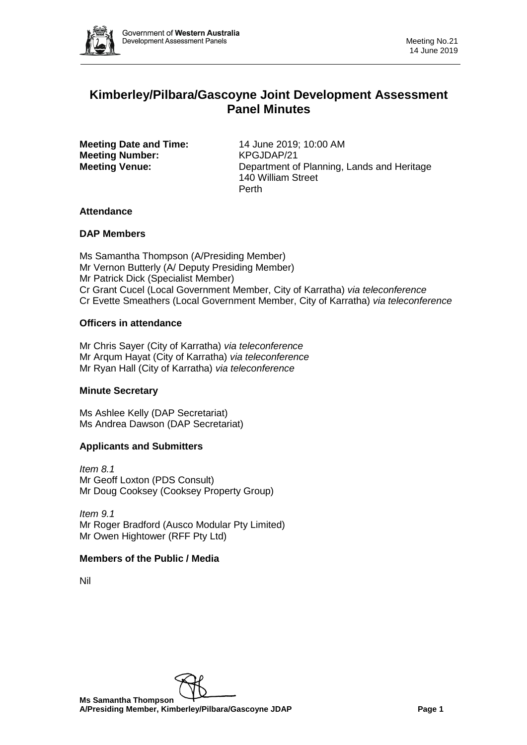

# **Kimberley/Pilbara/Gascoyne Joint Development Assessment Panel Minutes**

**Meeting Date and Time:** 14 June 2019; 10:00 AM **Meeting Number:** KPGJDAP/21

**Meeting Venue:** Department of Planning, Lands and Heritage 140 William Street Perth

# **Attendance**

# **DAP Members**

Ms Samantha Thompson (A/Presiding Member) Mr Vernon Butterly (A/ Deputy Presiding Member) Mr Patrick Dick (Specialist Member) Cr Grant Cucel (Local Government Member, City of Karratha) *via teleconference* Cr Evette Smeathers (Local Government Member, City of Karratha) *via teleconference*

# **Officers in attendance**

Mr Chris Sayer (City of Karratha) *via teleconference* Mr Arqum Hayat (City of Karratha) *via teleconference* Mr Ryan Hall (City of Karratha) *via teleconference*

# **Minute Secretary**

Ms Ashlee Kelly (DAP Secretariat) Ms Andrea Dawson (DAP Secretariat)

# **Applicants and Submitters**

*Item 8.1* Mr Geoff Loxton (PDS Consult) Mr Doug Cooksey (Cooksey Property Group)

*Item 9.1* Mr Roger Bradford (Ausco Modular Pty Limited) Mr Owen Hightower (RFF Pty Ltd)

# **Members of the Public / Media**

Nil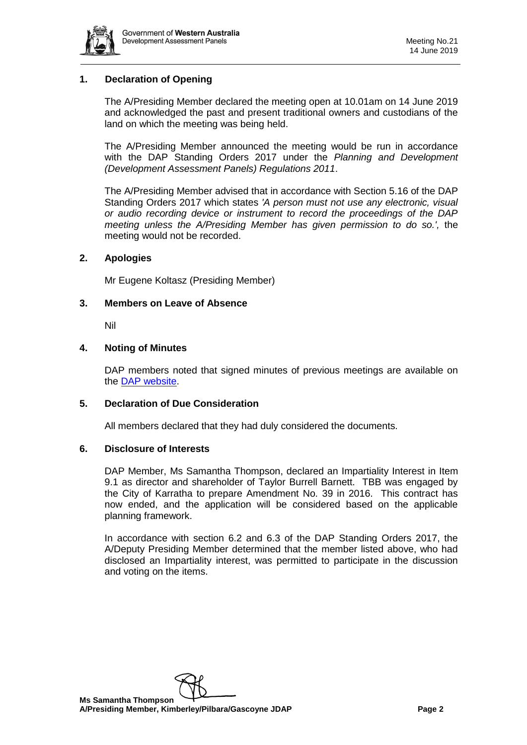

# **1. Declaration of Opening**

The A/Presiding Member declared the meeting open at 10.01am on 14 June 2019 and acknowledged the past and present traditional owners and custodians of the land on which the meeting was being held.

The A/Presiding Member announced the meeting would be run in accordance with the DAP Standing Orders 2017 under the *Planning and Development (Development Assessment Panels) Regulations 2011*.

The A/Presiding Member advised that in accordance with Section 5.16 of the DAP Standing Orders 2017 which states *'A person must not use any electronic, visual or audio recording device or instrument to record the proceedings of the DAP meeting unless the A/Presiding Member has given permission to do so.',* the meeting would not be recorded.

#### **2. Apologies**

Mr Eugene Koltasz (Presiding Member)

#### **3. Members on Leave of Absence**

Nil

#### **4. Noting of Minutes**

DAP members noted that signed minutes of previous meetings are available on the [DAP website.](https://www.dplh.wa.gov.au/about/development-assessment-panels/daps-agendas-and-minutes)

#### **5. Declaration of Due Consideration**

All members declared that they had duly considered the documents.

#### **6. Disclosure of Interests**

DAP Member, Ms Samantha Thompson, declared an Impartiality Interest in Item 9.1 as director and shareholder of Taylor Burrell Barnett. TBB was engaged by the City of Karratha to prepare Amendment No. 39 in 2016. This contract has now ended, and the application will be considered based on the applicable planning framework.

In accordance with section 6.2 and 6.3 of the DAP Standing Orders 2017, the A/Deputy Presiding Member determined that the member listed above, who had disclosed an Impartiality interest, was permitted to participate in the discussion and voting on the items.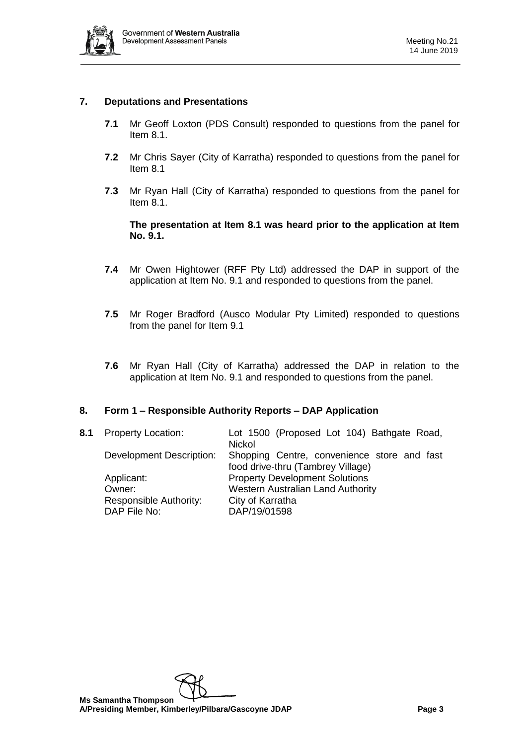

### **7. Deputations and Presentations**

- **7.1** Mr Geoff Loxton (PDS Consult) responded to questions from the panel for Item 8.1.
- **7.2** Mr Chris Sayer (City of Karratha) responded to questions from the panel for Item 8.1
- **7.3** Mr Ryan Hall (City of Karratha) responded to questions from the panel for Item 8.1.

**The presentation at Item 8.1 was heard prior to the application at Item No. 9.1.**

- **7.4** Mr Owen Hightower (RFF Pty Ltd) addressed the DAP in support of the application at Item No. 9.1 and responded to questions from the panel.
- **7.5** Mr Roger Bradford (Ausco Modular Pty Limited) responded to questions from the panel for Item 9.1
- **7.6** Mr Ryan Hall (City of Karratha) addressed the DAP in relation to the application at Item No. 9.1 and responded to questions from the panel.

#### **8. Form 1 – Responsible Authority Reports – DAP Application**

| 8.1 | <b>Property Location:</b> | Lot 1500 (Proposed Lot 104) Bathgate Road,<br>Nickol |
|-----|---------------------------|------------------------------------------------------|
|     | Development Description:  | Shopping Centre, convenience store and fast          |
|     |                           | food drive-thru (Tambrey Village)                    |
|     | Applicant:                | <b>Property Development Solutions</b>                |
|     | Owner:                    | <b>Western Australian Land Authority</b>             |
|     | Responsible Authority:    | City of Karratha                                     |
|     | DAP File No:              | DAP/19/01598                                         |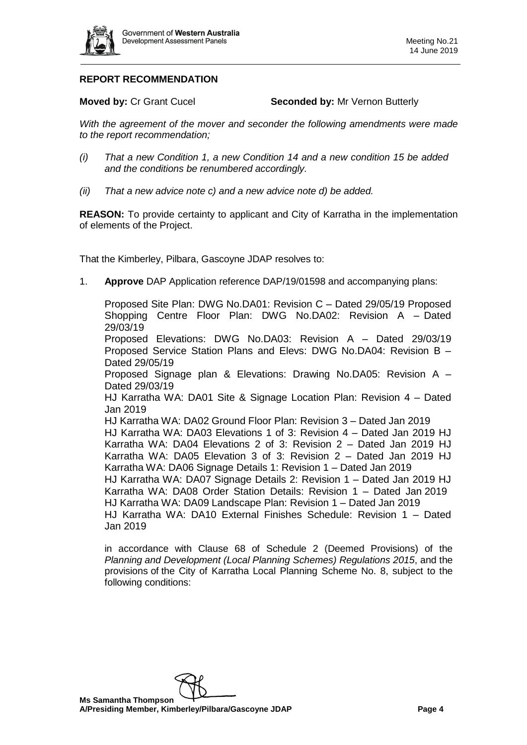

# **REPORT RECOMMENDATION**

**Moved by: Cr Grant Cucel Seconded by: Mr Vernon Butterly** 

*With the agreement of the mover and seconder the following amendments were made to the report recommendation;* 

- *(i) That a new Condition 1, a new Condition 14 and a new condition 15 be added and the conditions be renumbered accordingly.*
- *(ii) That a new advice note c) and a new advice note d) be added.*

**REASON:** To provide certainty to applicant and City of Karratha in the implementation of elements of the Project.

That the Kimberley, Pilbara, Gascoyne JDAP resolves to:

1. **Approve** DAP Application reference DAP/19/01598 and accompanying plans:

Proposed Site Plan: DWG No.DA01: Revision C – Dated 29/05/19 Proposed Shopping Centre Floor Plan: DWG No.DA02: Revision A – Dated 29/03/19 Proposed Elevations: DWG No.DA03: Revision A – Dated 29/03/19 Proposed Service Station Plans and Elevs: DWG No.DA04: Revision B – Dated 29/05/19 Proposed Signage plan & Elevations: Drawing No.DA05: Revision A – Dated 29/03/19 HJ Karratha WA: DA01 Site & Signage Location Plan: Revision 4 – Dated Jan 2019 HJ Karratha WA: DA02 Ground Floor Plan: Revision 3 – Dated Jan 2019 HJ Karratha WA: DA03 Elevations 1 of 3: Revision 4 – Dated Jan 2019 HJ Karratha WA: DA04 Elevations 2 of 3: Revision 2 – Dated Jan 2019 HJ Karratha WA: DA05 Elevation 3 of 3: Revision 2 – Dated Jan 2019 HJ Karratha WA: DA06 Signage Details 1: Revision 1 – Dated Jan 2019 HJ Karratha WA: DA07 Signage Details 2: Revision 1 – Dated Jan 2019 HJ Karratha WA: DA08 Order Station Details: Revision 1 – Dated Jan 2019 HJ Karratha WA: DA09 Landscape Plan: Revision 1 – Dated Jan 2019 HJ Karratha WA: DA10 External Finishes Schedule: Revision 1 – Dated Jan 2019

in accordance with Clause 68 of Schedule 2 (Deemed Provisions) of the *Planning and Development (Local Planning Schemes) Regulations 2015*, and the provisions of the City of Karratha Local Planning Scheme No. 8, subject to the following conditions: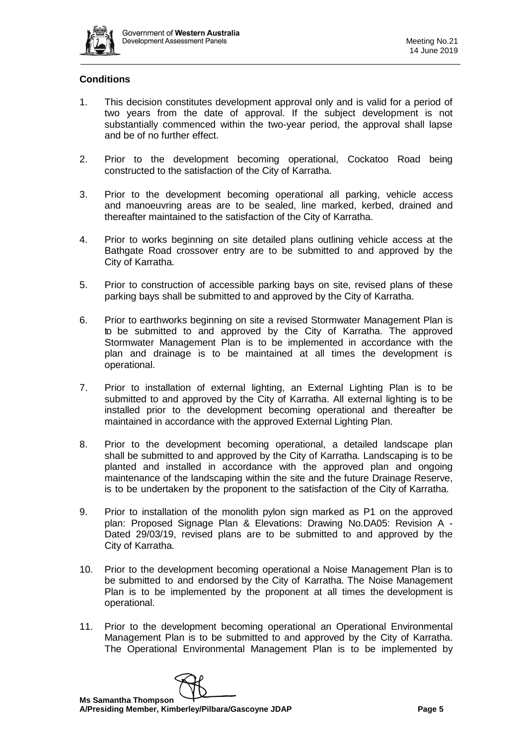

# **Conditions**

- 1. This decision constitutes development approval only and is valid for a period of two years from the date of approval. If the subject development is not substantially commenced within the two-year period, the approval shall lapse and be of no further effect.
- 2. Prior to the development becoming operational, Cockatoo Road being constructed to the satisfaction of the City of Karratha.
- 3. Prior to the development becoming operational all parking, vehicle access and manoeuvring areas are to be sealed, line marked, kerbed, drained and thereafter maintained to the satisfaction of the City of Karratha.
- 4. Prior to works beginning on site detailed plans outlining vehicle access at the Bathgate Road crossover entry are to be submitted to and approved by the City of Karratha.
- 5. Prior to construction of accessible parking bays on site, revised plans of these parking bays shall be submitted to and approved by the City of Karratha.
- 6. Prior to earthworks beginning on site a revised Stormwater Management Plan is to be submitted to and approved by the City of Karratha. The approved Stormwater Management Plan is to be implemented in accordance with the plan and drainage is to be maintained at all times the development is operational.
- 7. Prior to installation of external lighting, an External Lighting Plan is to be submitted to and approved by the City of Karratha. All external lighting is to be installed prior to the development becoming operational and thereafter be maintained in accordance with the approved External Lighting Plan.
- 8. Prior to the development becoming operational, a detailed landscape plan shall be submitted to and approved by the City of Karratha. Landscaping is to be planted and installed in accordance with the approved plan and ongoing maintenance of the landscaping within the site and the future Drainage Reserve, is to be undertaken by the proponent to the satisfaction of the City of Karratha.
- 9. Prior to installation of the monolith pylon sign marked as P1 on the approved plan: Proposed Signage Plan & Elevations: Drawing No.DA05: Revision A - Dated 29/03/19, revised plans are to be submitted to and approved by the City of Karratha.
- 10. Prior to the development becoming operational a Noise Management Plan is to be submitted to and endorsed by the City of Karratha. The Noise Management Plan is to be implemented by the proponent at all times the development is operational.
- 11. Prior to the development becoming operational an Operational Environmental Management Plan is to be submitted to and approved by the City of Karratha. The Operational Environmental Management Plan is to be implemented by

**Ms Samantha Thompson A/Presiding Member, Kimberley/Pilbara/Gascoyne JDAP Page 5**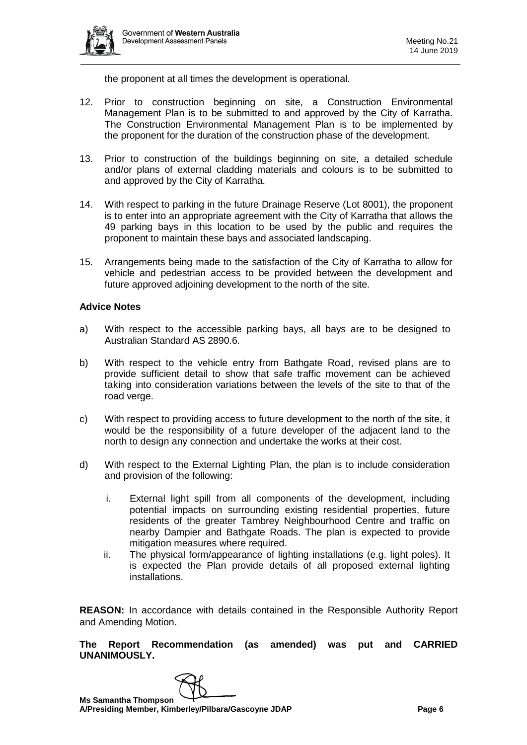

the proponent at all times the development is operational.

- 12. Prior to construction beginning on site, a Construction Environmental Management Plan is to be submitted to and approved by the City of Karratha. The Construction Environmental Management Plan is to be implemented by the proponent for the duration of the construction phase of the development.
- 13. Prior to construction of the buildings beginning on site, a detailed schedule and/or plans of external cladding materials and colours is to be submitted to and approved by the City of Karratha.
- 14. With respect to parking in the future Drainage Reserve (Lot 8001), the proponent is to enter into an appropriate agreement with the City of Karratha that allows the 49 parking bays in this location to be used by the public and requires the proponent to maintain these bays and associated landscaping.
- 15. Arrangements being made to the satisfaction of the City of Karratha to allow for vehicle and pedestrian access to be provided between the development and future approved adjoining development to the north of the site.

#### **Advice Notes**

- a) With respect to the accessible parking bays, all bays are to be designed to Australian Standard AS 2890.6.
- b) With respect to the vehicle entry from Bathgate Road, revised plans are to provide sufficient detail to show that safe traffic movement can be achieved taking into consideration variations between the levels of the site to that of the road verge.
- c) With respect to providing access to future development to the north of the site, it would be the responsibility of a future developer of the adjacent land to the north to design any connection and undertake the works at their cost.
- d) With respect to the External Lighting Plan, the plan is to include consideration and provision of the following:
	- i. External light spill from all components of the development, including potential impacts on surrounding existing residential properties, future residents of the greater Tambrey Neighbourhood Centre and traffic on nearby Dampier and Bathgate Roads. The plan is expected to provide mitigation measures where required.
	- ii. The physical form/appearance of lighting installations (e.g. light poles). It is expected the Plan provide details of all proposed external lighting installations.

**REASON:** In accordance with details contained in the Responsible Authority Report and Amending Motion.

**The Report Recommendation (as amended) was put and CARRIED UNANIMOUSLY.**

**Ms Samantha Thompson A/Presiding Member, Kimberley/Pilbara/Gascoyne JDAP Page 6**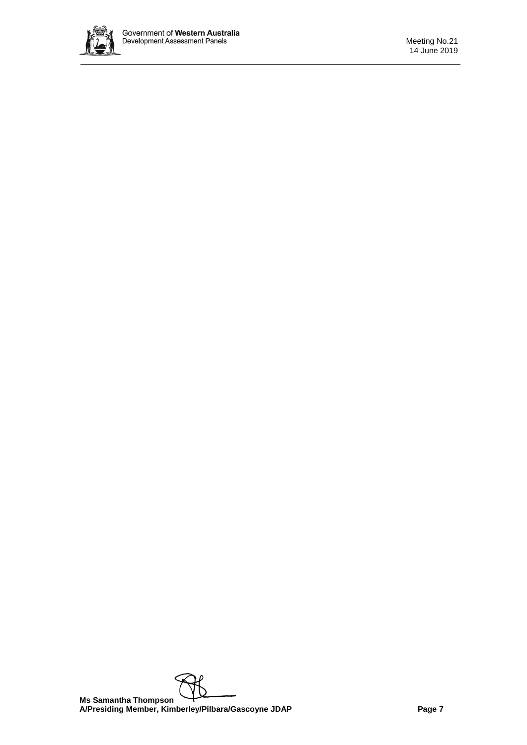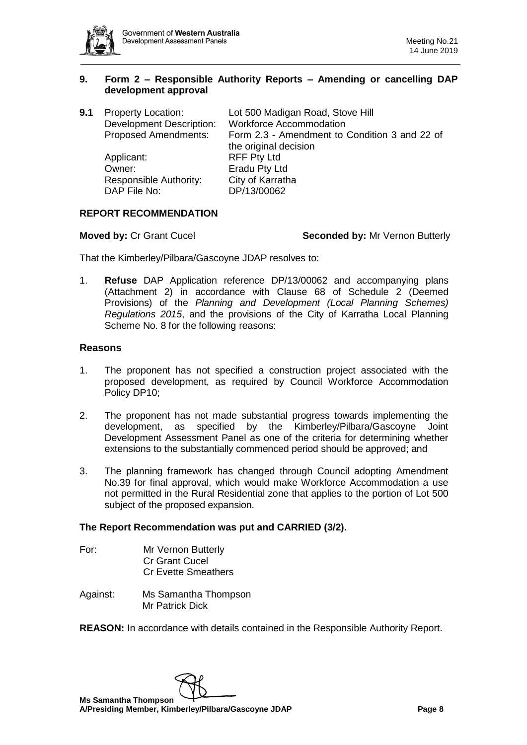

# **9. Form 2 – Responsible Authority Reports – Amending or cancelling DAP development approval**

| <b>Proposed Amendments:</b><br>the original decision<br><b>RFF Pty Ltd</b><br>Applicant:<br>Owner:<br>Eradu Pty Ltd<br>City of Karratha<br>Responsible Authority:<br>DP/13/00062<br>DAP File No: | 9.1 | <b>Property Location:</b><br><b>Development Description:</b> | Lot 500 Madigan Road, Stove Hill<br><b>Workforce Accommodation</b><br>Form 2.3 - Amendment to Condition 3 and 22 of |
|--------------------------------------------------------------------------------------------------------------------------------------------------------------------------------------------------|-----|--------------------------------------------------------------|---------------------------------------------------------------------------------------------------------------------|
|--------------------------------------------------------------------------------------------------------------------------------------------------------------------------------------------------|-----|--------------------------------------------------------------|---------------------------------------------------------------------------------------------------------------------|

# **REPORT RECOMMENDATION**

**Moved by: Cr Grant Cucel <b>Seconded by:** Mr Vernon Butterly

That the Kimberley/Pilbara/Gascoyne JDAP resolves to:

1. **Refuse** DAP Application reference DP/13/00062 and accompanying plans (Attachment 2) in accordance with Clause 68 of Schedule 2 (Deemed Provisions) of the *Planning and Development (Local Planning Schemes) Regulations 2015*, and the provisions of the City of Karratha Local Planning Scheme No. 8 for the following reasons:

### **Reasons**

- 1. The proponent has not specified a construction project associated with the proposed development, as required by Council Workforce Accommodation Policy DP10;
- 2. The proponent has not made substantial progress towards implementing the development, as specified by the Kimberley/Pilbara/Gascoyne Joint Development Assessment Panel as one of the criteria for determining whether extensions to the substantially commenced period should be approved; and
- 3. The planning framework has changed through Council adopting Amendment No.39 for final approval, which would make Workforce Accommodation a use not permitted in the Rural Residential zone that applies to the portion of Lot 500 subject of the proposed expansion.

# **The Report Recommendation was put and CARRIED (3/2).**

- For: Mr Vernon Butterly Cr Grant Cucel Cr Evette Smeathers
- Against: Ms Samantha Thompson Mr Patrick Dick

**REASON:** In accordance with details contained in the Responsible Authority Report.

**Ms Samantha Thompson A/Presiding Member, Kimberley/Pilbara/Gascoyne JDAP Page 8**